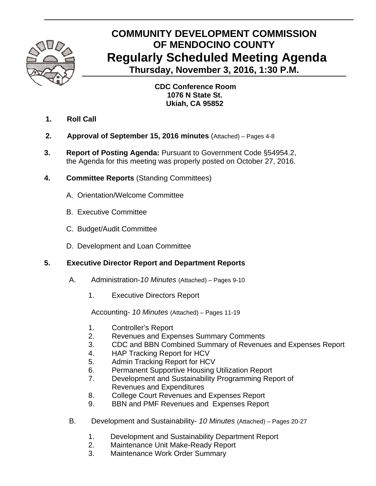

# **COMMUNITY DEVELOPMENT COMMISSION OF MENDOCINO COUNTY Regularly Scheduled Meeting Agenda Thursday, November 3, 2016, 1:30 P.M.**

 **CDC Conference Room 1076 N State St. Ukiah, CA 95852** 

- **1. Roll Call**
- **2. Approval of September 15, 2016 minutes** (Attached) Pages 4-8
- **3. Report of Posting Agenda:** Pursuant to Government Code §54954.2, the Agenda for this meeting was properly posted on October 27, 2016.
- **4. Committee Reports** (Standing Committees)
	- A.Orientation/Welcome Committee
	- B. Executive Committee
	- C. Budget/Audit Committee
	- D. Development and Loan Committee

## **5. Executive Director Report and Department Reports**

- A. Administration-*10 Minutes* (Attached) Pages 9-10
	- 1. Executive Directors Report

Accounting- *10 Minutes* (Attached) – Pages 11-19

- 1. Controller's Report
- 2. Revenues and Expenses Summary Comments
- 3. CDC and BBN Combined Summary of Revenues and Expenses Report
- 4. HAP Tracking Report for HCV
- 5. Admin Tracking Report for HCV
- 6. Permanent Supportive Housing Utilization Report
- 7. Development and Sustainability Programming Report of Revenues and Expenditures
- 8. College Court Revenues and Expenses Report
- 9. BBN and PMF Revenues and Expenses Report
- B. Development and Sustainability- *10 Minutes* (Attached) Pages 20-27
	- 1. Development and Sustainability Department Report
	- 2. Maintenance Unit Make-Ready Report
	- 3. Maintenance Work Order Summary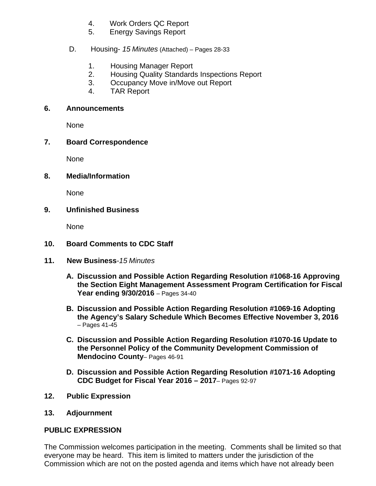- 4. Work Orders QC Report
- 5. Energy Savings Report
- D. Housing- *15 Minutes* (Attached) *–* Pages 28-33
	- 1. Housing Manager Report
	- 2. Housing Quality Standards Inspections Report
	- 3. Occupancy Move in/Move out Report
	- 4. TAR Report

#### **6. Announcements**

None

### **7. Board Correspondence**

None

### **8. Media/Information**

None

### **9. Unfinished Business**

None

### **10. Board Comments to CDC Staff**

- **11. New Business***-15 Minutes*
	- **A. Discussion and Possible Action Regarding Resolution #1068-16 Approving the Section Eight Management Assessment Program Certification for Fiscal Year ending 9/30/2016** – Pages 34-40
	- **B. Discussion and Possible Action Regarding Resolution #1069-16 Adopting the Agency's Salary Schedule Which Becomes Effective November 3, 2016**  – Pages 41-45
	- **C. Discussion and Possible Action Regarding Resolution #1070-16 Update to the Personnel Policy of the Community Development Commission of Mendocino County**– Pages 46-91
	- **D. Discussion and Possible Action Regarding Resolution #1071-16 Adopting CDC Budget for Fiscal Year 2016 – 2017**– Pages 92-97
- **12. Public Expression**
- **13. Adjournment**

### **PUBLIC EXPRESSION**

The Commission welcomes participation in the meeting. Comments shall be limited so that everyone may be heard. This item is limited to matters under the jurisdiction of the Commission which are not on the posted agenda and items which have not already been